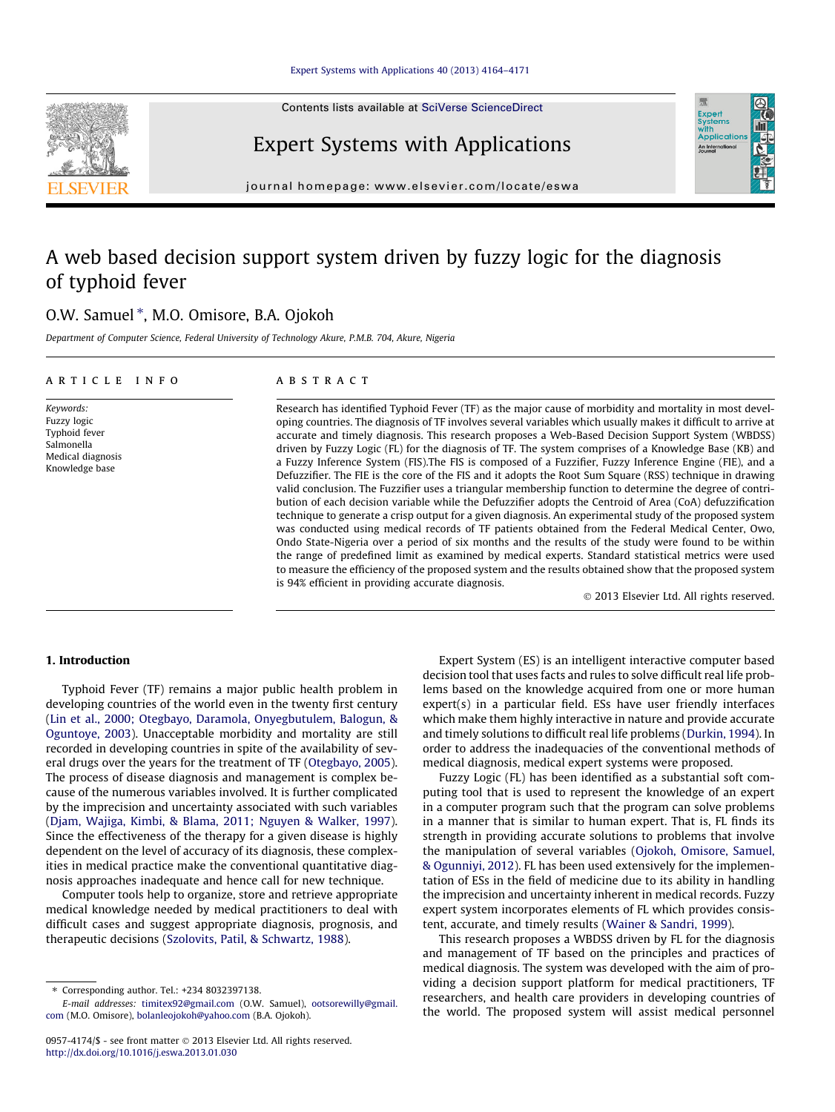Contents lists available at [SciVerse ScienceDirect](http://www.sciencedirect.com/science/journal/09574174)



Expert Systems with Applications



journal homepage: [www.elsevier.com/locate/eswa](http://www.elsevier.com/locate/eswa)

# A web based decision support system driven by fuzzy logic for the diagnosis of typhoid fever

## O.W. Samuel \*, M.O. Omisore, B.A. Ojokoh

Department of Computer Science, Federal University of Technology Akure, P.M.B. 704, Akure, Nigeria

#### article info

Keywords: Fuzzy logic Typhoid fever Salmonella Medical diagnosis Knowledge base

**ABSTRACT** 

Research has identified Typhoid Fever (TF) as the major cause of morbidity and mortality in most developing countries. The diagnosis of TF involves several variables which usually makes it difficult to arrive at accurate and timely diagnosis. This research proposes a Web-Based Decision Support System (WBDSS) driven by Fuzzy Logic (FL) for the diagnosis of TF. The system comprises of a Knowledge Base (KB) and a Fuzzy Inference System (FIS).The FIS is composed of a Fuzzifier, Fuzzy Inference Engine (FIE), and a Defuzzifier. The FIE is the core of the FIS and it adopts the Root Sum Square (RSS) technique in drawing valid conclusion. The Fuzzifier uses a triangular membership function to determine the degree of contribution of each decision variable while the Defuzzifier adopts the Centroid of Area (CoA) defuzzification technique to generate a crisp output for a given diagnosis. An experimental study of the proposed system was conducted using medical records of TF patients obtained from the Federal Medical Center, Owo, Ondo State-Nigeria over a period of six months and the results of the study were found to be within the range of predefined limit as examined by medical experts. Standard statistical metrics were used to measure the efficiency of the proposed system and the results obtained show that the proposed system is 94% efficient in providing accurate diagnosis.

- 2013 Elsevier Ltd. All rights reserved.

### 1. Introduction

Typhoid Fever (TF) remains a major public health problem in developing countries of the world even in the twenty first century ([Lin et al., 2000; Otegbayo, Daramola, Onyegbutulem, Balogun, &](#page--1-0) [Oguntoye, 2003\)](#page--1-0). Unacceptable morbidity and mortality are still recorded in developing countries in spite of the availability of several drugs over the years for the treatment of TF [\(Otegbayo, 2005\)](#page--1-0). The process of disease diagnosis and management is complex because of the numerous variables involved. It is further complicated by the imprecision and uncertainty associated with such variables ([Djam, Wajiga, Kimbi, & Blama, 2011; Nguyen & Walker, 1997\)](#page--1-0). Since the effectiveness of the therapy for a given disease is highly dependent on the level of accuracy of its diagnosis, these complexities in medical practice make the conventional quantitative diagnosis approaches inadequate and hence call for new technique.

Computer tools help to organize, store and retrieve appropriate medical knowledge needed by medical practitioners to deal with difficult cases and suggest appropriate diagnosis, prognosis, and therapeutic decisions [\(Szolovits, Patil, & Schwartz, 1988](#page--1-0)).

Expert System (ES) is an intelligent interactive computer based decision tool that uses facts and rules to solve difficult real life problems based on the knowledge acquired from one or more human expert(s) in a particular field. ESs have user friendly interfaces which make them highly interactive in nature and provide accurate and timely solutions to difficult real life problems ([Durkin, 1994\)](#page--1-0). In order to address the inadequacies of the conventional methods of medical diagnosis, medical expert systems were proposed.

Fuzzy Logic (FL) has been identified as a substantial soft computing tool that is used to represent the knowledge of an expert in a computer program such that the program can solve problems in a manner that is similar to human expert. That is, FL finds its strength in providing accurate solutions to problems that involve the manipulation of several variables ([Ojokoh, Omisore, Samuel,](#page--1-0) [& Ogunniyi, 2012\)](#page--1-0). FL has been used extensively for the implementation of ESs in the field of medicine due to its ability in handling the imprecision and uncertainty inherent in medical records. Fuzzy expert system incorporates elements of FL which provides consistent, accurate, and timely results ([Wainer & Sandri, 1999](#page--1-0)).

This research proposes a WBDSS driven by FL for the diagnosis and management of TF based on the principles and practices of medical diagnosis. The system was developed with the aim of providing a decision support platform for medical practitioners, TF researchers, and health care providers in developing countries of the world. The proposed system will assist medical personnel

<sup>⇑</sup> Corresponding author. Tel.: +234 8032397138.

E-mail addresses: [timitex92@gmail.com](mailto:timitex92@gmail.com) (O.W. Samuel), [ootsorewilly@gmail.](mailto:ootsorewilly@gmail.com) [com](mailto:ootsorewilly@gmail.com) (M.O. Omisore), [bolanleojokoh@yahoo.com](mailto:bolanleojokoh@yahoo.com) (B.A. Ojokoh).

<sup>0957-4174/\$ -</sup> see front matter © 2013 Elsevier Ltd. All rights reserved. <http://dx.doi.org/10.1016/j.eswa.2013.01.030>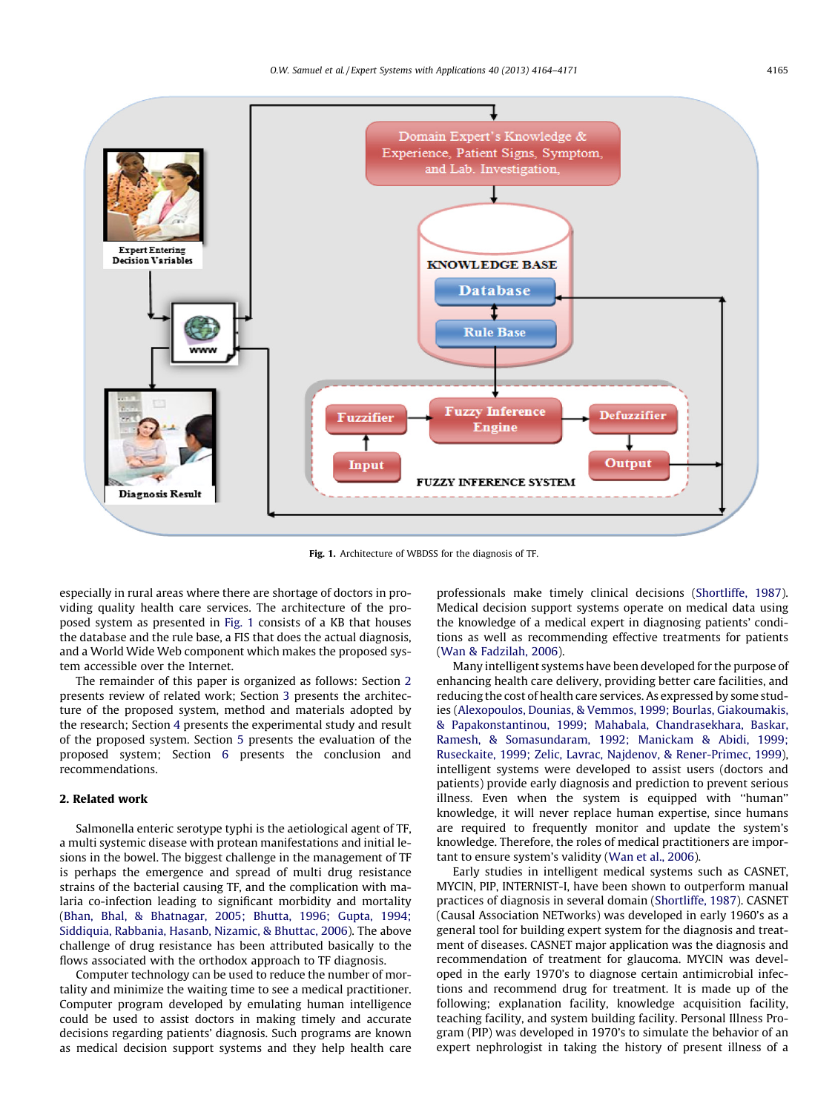

Fig. 1. Architecture of WBDSS for the diagnosis of TF.

especially in rural areas where there are shortage of doctors in providing quality health care services. The architecture of the proposed system as presented in Fig. 1 consists of a KB that houses the database and the rule base, a FIS that does the actual diagnosis, and a World Wide Web component which makes the proposed system accessible over the Internet.

The remainder of this paper is organized as follows: Section 2 presents review of related work; Section [3](#page--1-0) presents the architecture of the proposed system, method and materials adopted by the research; Section [4](#page--1-0) presents the experimental study and result of the proposed system. Section [5](#page--1-0) presents the evaluation of the proposed system; Section [6](#page--1-0) presents the conclusion and recommendations.

#### 2. Related work

Salmonella enteric serotype typhi is the aetiological agent of TF, a multi systemic disease with protean manifestations and initial lesions in the bowel. The biggest challenge in the management of TF is perhaps the emergence and spread of multi drug resistance strains of the bacterial causing TF, and the complication with malaria co-infection leading to significant morbidity and mortality ([Bhan, Bhal, & Bhatnagar, 2005; Bhutta, 1996; Gupta, 1994;](#page--1-0) [Siddiquia, Rabbania, Hasanb, Nizamic, & Bhuttac, 2006](#page--1-0)). The above challenge of drug resistance has been attributed basically to the flows associated with the orthodox approach to TF diagnosis.

Computer technology can be used to reduce the number of mortality and minimize the waiting time to see a medical practitioner. Computer program developed by emulating human intelligence could be used to assist doctors in making timely and accurate decisions regarding patients' diagnosis. Such programs are known as medical decision support systems and they help health care professionals make timely clinical decisions ([Shortliffe, 1987\)](#page--1-0). Medical decision support systems operate on medical data using the knowledge of a medical expert in diagnosing patients' conditions as well as recommending effective treatments for patients ([Wan & Fadzilah, 2006](#page--1-0)).

Many intelligent systems have been developed for the purpose of enhancing health care delivery, providing better care facilities, and reducing the cost of health care services. As expressed by some studies ([Alexopoulos, Dounias, & Vemmos, 1999; Bourlas, Giakoumakis,](#page--1-0) [& Papakonstantinou, 1999; Mahabala, Chandrasekhara, Baskar,](#page--1-0) [Ramesh, & Somasundaram, 1992; Manickam & Abidi, 1999;](#page--1-0) [Ruseckaite, 1999; Zelic, Lavrac, Najdenov, & Rener-Primec, 1999\)](#page--1-0), intelligent systems were developed to assist users (doctors and patients) provide early diagnosis and prediction to prevent serious illness. Even when the system is equipped with ''human'' knowledge, it will never replace human expertise, since humans are required to frequently monitor and update the system's knowledge. Therefore, the roles of medical practitioners are important to ensure system's validity [\(Wan et al., 2006](#page--1-0)).

Early studies in intelligent medical systems such as CASNET, MYCIN, PIP, INTERNIST-I, have been shown to outperform manual practices of diagnosis in several domain [\(Shortliffe, 1987\)](#page--1-0). CASNET (Causal Association NETworks) was developed in early 1960's as a general tool for building expert system for the diagnosis and treatment of diseases. CASNET major application was the diagnosis and recommendation of treatment for glaucoma. MYCIN was developed in the early 1970's to diagnose certain antimicrobial infections and recommend drug for treatment. It is made up of the following; explanation facility, knowledge acquisition facility, teaching facility, and system building facility. Personal Illness Program (PIP) was developed in 1970's to simulate the behavior of an expert nephrologist in taking the history of present illness of a